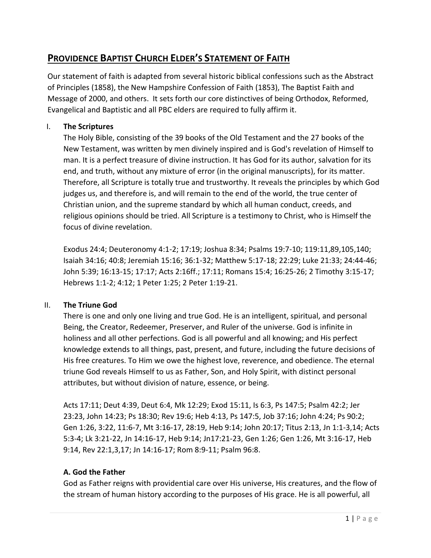# **PROVIDENCE BAPTIST CHURCH ELDER'S STATEMENT OF FAITH**

Our statement of faith is adapted from several historic biblical confessions such as the Abstract of Principles (1858), the New Hampshire Confession of Faith (1853), The Baptist Faith and Message of 2000, and others. It sets forth our core distinctives of being Orthodox, Reformed, Evangelical and Baptistic and all PBC elders are required to fully affirm it.

# I. **The Scriptures**

The Holy Bible, consisting of the 39 books of the Old Testament and the 27 books of the New Testament, was written by men divinely inspired and is God's revelation of Himself to man. It is a perfect treasure of divine instruction. It has God for its author, salvation for its end, and truth, without any mixture of error (in the original manuscripts), for its matter. Therefore, all Scripture is totally true and trustworthy. It reveals the principles by which God judges us, and therefore is, and will remain to the end of the world, the true center of Christian union, and the supreme standard by which all human conduct, creeds, and religious opinions should be tried. All Scripture is a testimony to Christ, who is Himself the focus of divine revelation.

Exodus 24:4; Deuteronomy 4:1-2; 17:19; Joshua 8:34; Psalms 19:7-10; 119:11,89,105,140; Isaiah 34:16; 40:8; Jeremiah 15:16; 36:1-32; Matthew 5:17-18; 22:29; Luke 21:33; 24:44-46; John 5:39; 16:13-15; 17:17; Acts 2:16ff.; 17:11; Romans 15:4; 16:25-26; 2 Timothy 3:15-17; Hebrews 1:1-2; 4:12; 1 Peter 1:25; 2 Peter 1:19-21.

### II. **The Triune God**

There is one and only one living and true God. He is an intelligent, spiritual, and personal Being, the Creator, Redeemer, Preserver, and Ruler of the universe. God is infinite in holiness and all other perfections. God is all powerful and all knowing; and His perfect knowledge extends to all things, past, present, and future, including the future decisions of His free creatures. To Him we owe the highest love, reverence, and obedience. The eternal triune God reveals Himself to us as Father, Son, and Holy Spirit, with distinct personal attributes, but without division of nature, essence, or being.

Acts 17:11; Deut 4:39, Deut 6:4, Mk 12:29; Exod 15:11, Is 6:3, Ps 147:5; Psalm 42:2; Jer 23:23, John 14:23; Ps 18:30; Rev 19:6; Heb 4:13, Ps 147:5, Job 37:16; John 4:24; Ps 90:2; Gen 1:26, 3:22, 11:6-7, Mt 3:16-17, 28:19, Heb 9:14; John 20:17; Titus 2:13, Jn 1:1-3,14; Acts 5:3-4; Lk 3:21-22, Jn 14:16-17, Heb 9:14; Jn17:21-23, Gen 1:26; Gen 1:26, Mt 3:16-17, Heb 9:14, Rev 22:1,3,17; Jn 14:16-17; Rom 8:9-11; Psalm 96:8.

### **A. God the Father**

God as Father reigns with providential care over His universe, His creatures, and the flow of the stream of human history according to the purposes of His grace. He is all powerful, all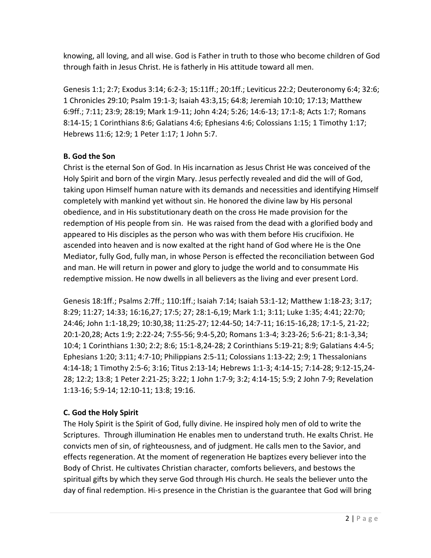knowing, all loving, and all wise. God is Father in truth to those who become children of God through faith in Jesus Christ. He is fatherly in His attitude toward all men.

Genesis 1:1; 2:7; Exodus 3:14; 6:2-3; 15:11ff.; 20:1ff.; Leviticus 22:2; Deuteronomy 6:4; 32:6; 1 Chronicles 29:10; Psalm 19:1-3; Isaiah 43:3,15; 64:8; Jeremiah 10:10; 17:13; Matthew 6:9ff.; 7:11; 23:9; 28:19; Mark 1:9-11; John 4:24; 5:26; 14:6-13; 17:1-8; Acts 1:7; Romans 8:14-15; 1 Corinthians 8:6; Galatians 4:6; Ephesians 4:6; Colossians 1:15; 1 Timothy 1:17; Hebrews 11:6; 12:9; 1 Peter 1:17; 1 John 5:7.

# **B. God the Son**

Christ is the eternal Son of God. In His incarnation as Jesus Christ He was conceived of the Holy Spirit and born of the virgin Mary. Jesus perfectly revealed and did the will of God, taking upon Himself human nature with its demands and necessities and identifying Himself completely with mankind yet without sin. He honored the divine law by His personal obedience, and in His substitutionary death on the cross He made provision for the redemption of His people from sin. He was raised from the dead with a glorified body and appeared to His disciples as the person who was with them before His crucifixion. He ascended into heaven and is now exalted at the right hand of God where He is the One Mediator, fully God, fully man, in whose Person is effected the reconciliation between God and man. He will return in power and glory to judge the world and to consummate His redemptive mission. He now dwells in all believers as the living and ever present Lord.

Genesis 18:1ff.; Psalms 2:7ff.; 110:1ff.; Isaiah 7:14; Isaiah 53:1-12; Matthew 1:18-23; 3:17; 8:29; 11:27; 14:33; 16:16,27; 17:5; 27; 28:1-6,19; Mark 1:1; 3:11; Luke 1:35; 4:41; 22:70; 24:46; John 1:1-18,29; 10:30,38; 11:25-27; 12:44-50; 14:7-11; 16:15-16,28; 17:1-5, 21-22; 20:1-20,28; Acts 1:9; 2:22-24; 7:55-56; 9:4-5,20; Romans 1:3-4; 3:23-26; 5:6-21; 8:1-3,34; 10:4; 1 Corinthians 1:30; 2:2; 8:6; 15:1-8,24-28; 2 Corinthians 5:19-21; 8:9; Galatians 4:4-5; Ephesians 1:20; 3:11; 4:7-10; Philippians 2:5-11; Colossians 1:13-22; 2:9; 1 Thessalonians 4:14-18; 1 Timothy 2:5-6; 3:16; Titus 2:13-14; Hebrews 1:1-3; 4:14-15; 7:14-28; 9:12-15,24- 28; 12:2; 13:8; 1 Peter 2:21-25; 3:22; 1 John 1:7-9; 3:2; 4:14-15; 5:9; 2 John 7-9; Revelation 1:13-16; 5:9-14; 12:10-11; 13:8; 19:16.

# **C. God the Holy Spirit**

The Holy Spirit is the Spirit of God, fully divine. He inspired holy men of old to write the Scriptures. Through illumination He enables men to understand truth. He exalts Christ. He convicts men of sin, of righteousness, and of judgment. He calls men to the Savior, and effects regeneration. At the moment of regeneration He baptizes every believer into the Body of Christ. He cultivates Christian character, comforts believers, and bestows the spiritual gifts by which they serve God through His church. He seals the believer unto the day of final redemption. Hi-s presence in the Christian is the guarantee that God will bring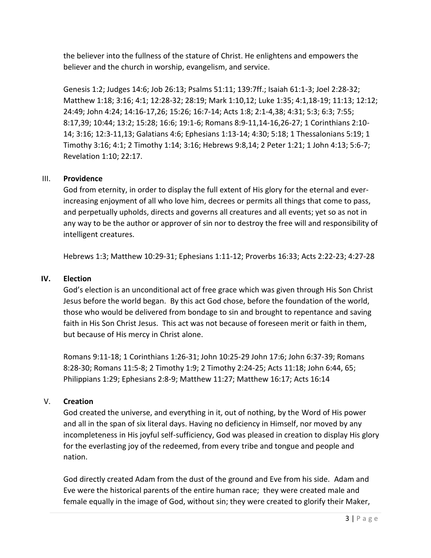the believer into the fullness of the stature of Christ. He enlightens and empowers the believer and the church in worship, evangelism, and service.

Genesis 1:2; Judges 14:6; Job 26:13; Psalms 51:11; 139:7ff.; Isaiah 61:1-3; Joel 2:28-32; Matthew 1:18; 3:16; 4:1; 12:28-32; 28:19; Mark 1:10,12; Luke 1:35; 4:1,18-19; 11:13; 12:12; 24:49; John 4:24; 14:16-17,26; 15:26; 16:7-14; Acts 1:8; 2:1-4,38; 4:31; 5:3; 6:3; 7:55; 8:17,39; 10:44; 13:2; 15:28; 16:6; 19:1-6; Romans 8:9-11,14-16,26-27; 1 Corinthians 2:10- 14; 3:16; 12:3-11,13; Galatians 4:6; Ephesians 1:13-14; 4:30; 5:18; 1 Thessalonians 5:19; 1 Timothy 3:16; 4:1; 2 Timothy 1:14; 3:16; Hebrews 9:8,14; 2 Peter 1:21; 1 John 4:13; 5:6-7; Revelation 1:10; 22:17.

### III. **Providence**

God from eternity, in order to display the full extent of His glory for the eternal and everincreasing enjoyment of all who love him, decrees or permits all things that come to pass, and perpetually upholds, directs and governs all creatures and all events; yet so as not in any way to be the author or approver of sin nor to destroy the free will and responsibility of intelligent creatures.

Hebrews 1:3; Matthew 10:29-31; Ephesians 1:11-12; Proverbs 16:33; Acts 2:22-23; 4:27-28

#### **IV. Election**

God's election is an unconditional act of free grace which was given through His Son Christ Jesus before the world began. By this act God chose, before the foundation of the world, those who would be delivered from bondage to sin and brought to repentance and saving faith in His Son Christ Jesus. This act was not because of foreseen merit or faith in them, but because of His mercy in Christ alone.

Romans 9:11-18; 1 Corinthians 1:26-31; John 10:25-29 John 17:6; John 6:37-39; Romans 8:28-30; Romans 11:5-8; 2 Timothy 1:9; 2 Timothy 2:24-25; Acts 11:18; John 6:44, 65; Philippians 1:29; Ephesians 2:8-9; Matthew 11:27; Matthew 16:17; Acts 16:14

### V. **Creation**

God created the universe, and everything in it, out of nothing, by the Word of His power and all in the span of six literal days. Having no deficiency in Himself, nor moved by any incompleteness in His joyful self-sufficiency, God was pleased in creation to display His glory for the everlasting joy of the redeemed, from every tribe and tongue and people and nation.

God directly created Adam from the dust of the ground and Eve from his side. Adam and Eve were the historical parents of the entire human race; they were created male and female equally in the image of God, without sin; they were created to glorify their Maker,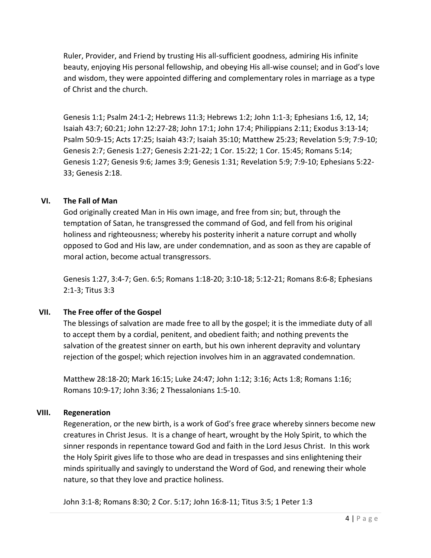Ruler, Provider, and Friend by trusting His all-sufficient goodness, admiring His infinite beauty, enjoying His personal fellowship, and obeying His all-wise counsel; and in God's love and wisdom, they were appointed differing and complementary roles in marriage as a type of Christ and the church.

Genesis 1:1; Psalm 24:1-2; Hebrews 11:3; Hebrews 1:2; John 1:1-3; Ephesians 1:6, 12, 14; Isaiah 43:7; 60:21; John 12:27-28; John 17:1; John 17:4; Philippians 2:11; Exodus 3:13-14; Psalm 50:9-15; Acts 17:25; Isaiah 43:7; Isaiah 35:10; Matthew 25:23; Revelation 5:9; 7:9-10; Genesis 2:7; Genesis 1:27; Genesis 2:21-22; 1 Cor. 15:22; 1 Cor. 15:45; Romans 5:14; Genesis 1:27; Genesis 9:6; James 3:9; Genesis 1:31; Revelation 5:9; 7:9-10; Ephesians 5:22- 33; Genesis 2:18.

### **VI. The Fall of Man**

God originally created Man in His own image, and free from sin; but, through the temptation of Satan, he transgressed the command of God, and fell from his original holiness and righteousness; whereby his posterity inherit a nature corrupt and wholly opposed to God and His law, are under condemnation, and as soon as they are capable of moral action, become actual transgressors.

Genesis 1:27, 3:4-7; Gen. 6:5; Romans 1:18-20; 3:10-18; 5:12-21; Romans 8:6-8; Ephesians 2:1-3; Titus 3:3

# **VII. The Free offer of the Gospel**

The blessings of salvation are made free to all by the gospel; it is the immediate duty of all to accept them by a cordial, penitent, and obedient faith; and nothing prevents the salvation of the greatest sinner on earth, but his own inherent depravity and voluntary rejection of the gospel; which rejection involves him in an aggravated condemnation.

Matthew 28:18-20; Mark 16:15; Luke 24:47; John 1:12; 3:16; Acts 1:8; Romans 1:16; Romans 10:9-17; John 3:36; 2 Thessalonians 1:5-10.

# **VIII. Regeneration**

Regeneration, or the new birth, is a work of God's free grace whereby sinners become new creatures in Christ Jesus. It is a change of heart, wrought by the Holy Spirit, to which the sinner responds in repentance toward God and faith in the Lord Jesus Christ. In this work the Holy Spirit gives life to those who are dead in trespasses and sins enlightening their minds spiritually and savingly to understand the Word of God, and renewing their whole nature, so that they love and practice holiness.

John 3:1-8; Romans 8:30; 2 Cor. 5:17; John 16:8-11; Titus 3:5; 1 Peter 1:3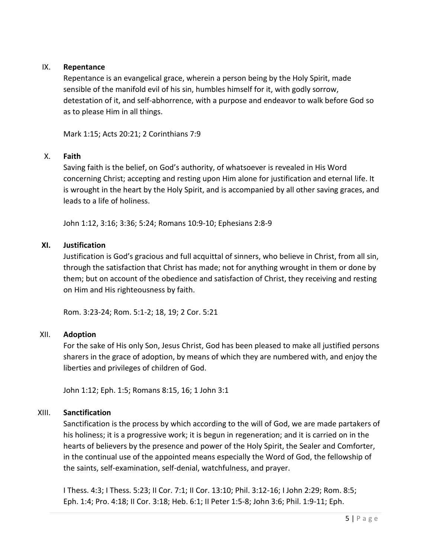#### IX. **Repentance**

Repentance is an evangelical grace, wherein a person being by the Holy Spirit, made sensible of the manifold evil of his sin, humbles himself for it, with godly sorrow, detestation of it, and self-abhorrence, with a purpose and endeavor to walk before God so as to please Him in all things.

Mark 1:15; Acts 20:21; 2 Corinthians 7:9

### X. **Faith**

Saving faith is the belief, on God's authority, of whatsoever is revealed in His Word concerning Christ; accepting and resting upon Him alone for justification and eternal life. It is wrought in the heart by the Holy Spirit, and is accompanied by all other saving graces, and leads to a life of holiness.

John 1:12, 3:16; 3:36; 5:24; Romans 10:9-10; Ephesians 2:8-9

### **XI. Justification**

Justification is God's gracious and full acquittal of sinners, who believe in Christ, from all sin, through the satisfaction that Christ has made; not for anything wrought in them or done by them; but on account of the obedience and satisfaction of Christ, they receiving and resting on Him and His righteousness by faith.

Rom. 3:23-24; Rom. 5:1-2; 18, 19; 2 Cor. 5:21

#### XII. **Adoption**

For the sake of His only Son, Jesus Christ, God has been pleased to make all justified persons sharers in the grace of adoption, by means of which they are numbered with, and enjoy the liberties and privileges of children of God.

John 1:12; Eph. 1:5; Romans 8:15, 16; 1 John 3:1

#### XIII. **Sanctification**

Sanctification is the process by which according to the will of God, we are made partakers of his holiness; it is a progressive work; it is begun in regeneration; and it is carried on in the hearts of believers by the presence and power of the Holy Spirit, the Sealer and Comforter, in the continual use of the appointed means especially the Word of God, the fellowship of the saints, self-examination, self-denial, watchfulness, and prayer.

I Thess. 4:3; I Thess. 5:23; II Cor. 7:1; II Cor. 13:10; Phil. 3:12-16; I John 2:29; Rom. 8:5; Eph. 1:4; Pro. 4:18; II Cor. 3:18; Heb. 6:1; II Peter 1:5-8; John 3:6; Phil. 1:9-11; Eph.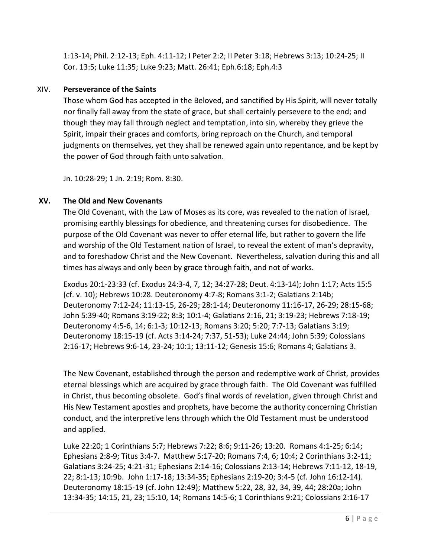1:13-14; Phil. 2:12-13; Eph. 4:11-12; I Peter 2:2; II Peter 3:18; Hebrews 3:13; 10:24-25; II Cor. 13:5; Luke 11:35; Luke 9:23; Matt. 26:41; Eph.6:18; Eph.4:3

### XIV. **Perseverance of the Saints**

Those whom God has accepted in the Beloved, and sanctified by His Spirit, will never totally nor finally fall away from the state of grace, but shall certainly persevere to the end; and though they may fall through neglect and temptation, into sin, whereby they grieve the Spirit, impair their graces and comforts, bring reproach on the Church, and temporal judgments on themselves, yet they shall be renewed again unto repentance, and be kept by the power of God through faith unto salvation.

Jn. 10:28-29; 1 Jn. 2:19; Rom. 8:30.

### **XV. The Old and New Covenants**

The Old Covenant, with the Law of Moses as its core, was revealed to the nation of Israel, promising earthly blessings for obedience, and threatening curses for disobedience. The purpose of the Old Covenant was never to offer eternal life, but rather to govern the life and worship of the Old Testament nation of Israel, to reveal the extent of man's depravity, and to foreshadow Christ and the New Covenant. Nevertheless, salvation during this and all times has always and only been by grace through faith, and not of works.

Exodus 20:1-23:33 (cf. Exodus 24:3-4, 7, 12; 34:27-28; Deut. 4:13-14); John 1:17; Acts 15:5 (cf. v. 10); Hebrews 10:28. Deuteronomy 4:7-8; Romans 3:1-2; Galatians 2:14b; Deuteronomy 7:12-24; 11:13-15, 26-29; 28:1-14; Deuteronomy 11:16-17, 26-29; 28:15-68; John 5:39-40; Romans 3:19-22; 8:3; 10:1-4; Galatians 2:16, 21; 3:19-23; Hebrews 7:18-19; Deuteronomy 4:5-6, 14; 6:1-3; 10:12-13; Romans 3:20; 5:20; 7:7-13; Galatians 3:19; Deuteronomy 18:15-19 (cf. Acts 3:14-24; 7:37, 51-53); Luke 24:44; John 5:39; Colossians 2:16-17; Hebrews 9:6-14, 23-24; 10:1; 13:11-12; Genesis 15:6; Romans 4; Galatians 3.

The New Covenant, established through the person and redemptive work of Christ, provides eternal blessings which are acquired by grace through faith. The Old Covenant was fulfilled in Christ, thus becoming obsolete. God's final words of revelation, given through Christ and His New Testament apostles and prophets, have become the authority concerning Christian conduct, and the interpretive lens through which the Old Testament must be understood and applied.

Luke 22:20; 1 Corinthians 5:7; Hebrews 7:22; 8:6; 9:11-26; 13:20. Romans 4:1-25; 6:14; Ephesians 2:8-9; Titus 3:4-7. Matthew 5:17-20; Romans 7:4, 6; 10:4; 2 Corinthians 3:2-11; Galatians 3:24-25; 4:21-31; Ephesians 2:14-16; Colossians 2:13-14; Hebrews 7:11-12, 18-19, 22; 8:1-13; 10:9b. John 1:17-18; 13:34-35; Ephesians 2:19-20; 3:4-5 (cf. John 16:12-14). Deuteronomy 18:15-19 (cf. John 12:49); Matthew 5:22, 28, 32, 34, 39, 44; 28:20a; John 13:34-35; 14:15, 21, 23; 15:10, 14; Romans 14:5-6; 1 Corinthians 9:21; Colossians 2:16-17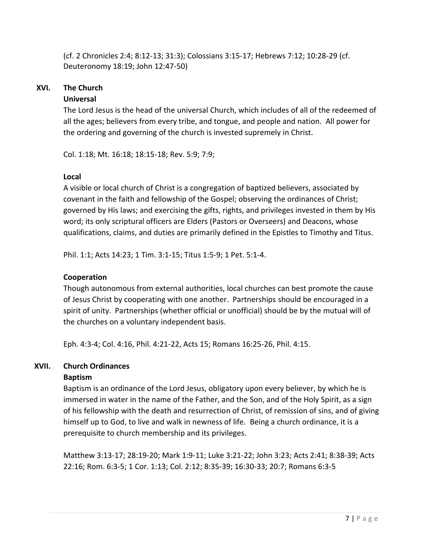(cf. 2 Chronicles 2:4; 8:12-13; 31:3); Colossians 3:15-17; Hebrews 7:12; 10:28-29 (cf. Deuteronomy 18:19; John 12:47-50)

# **XVI. The Church**

# **Universal**

The Lord Jesus is the head of the universal Church, which includes of all of the redeemed of all the ages; believers from every tribe, and tongue, and people and nation. All power for the ordering and governing of the church is invested supremely in Christ.

Col. 1:18; Mt. 16:18; 18:15-18; Rev. 5:9; 7:9;

# **Local**

A visible or local church of Christ is a congregation of baptized believers, associated by covenant in the faith and fellowship of the Gospel; observing the ordinances of Christ; governed by His laws; and exercising the gifts, rights, and privileges invested in them by His word; its only scriptural officers are Elders (Pastors or Overseers) and Deacons, whose qualifications, claims, and duties are primarily defined in the Epistles to Timothy and Titus.

Phil. 1:1; Acts 14:23; 1 Tim. 3:1-15; Titus 1:5-9; 1 Pet. 5:1-4.

# **Cooperation**

Though autonomous from external authorities, local churches can best promote the cause of Jesus Christ by cooperating with one another. Partnerships should be encouraged in a spirit of unity. Partnerships (whether official or unofficial) should be by the mutual will of the churches on a voluntary independent basis.

Eph. 4:3-4; Col. 4:16, Phil. 4:21-22, Acts 15; Romans 16:25-26, Phil. 4:15.

### **XVII. Church Ordinances Baptism**

Baptism is an ordinance of the Lord Jesus, obligatory upon every believer, by which he is immersed in water in the name of the Father, and the Son, and of the Holy Spirit, as a sign of his fellowship with the death and resurrection of Christ, of remission of sins, and of giving himself up to God, to live and walk in newness of life. Being a church ordinance, it is a prerequisite to church membership and its privileges.

Matthew 3:13-17; 28:19-20; Mark 1:9-11; Luke 3:21-22; John 3:23; Acts 2:41; 8:38-39; Acts 22:16; Rom. 6:3-5; 1 Cor. 1:13; Col. 2:12; 8:35-39; 16:30-33; 20:7; Romans 6:3-5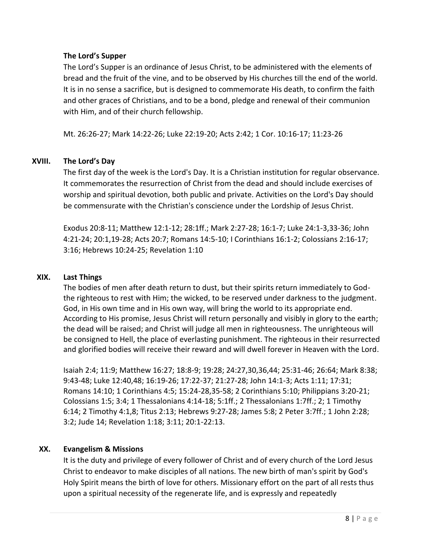### **The Lord's Supper**

The Lord's Supper is an ordinance of Jesus Christ, to be administered with the elements of bread and the fruit of the vine, and to be observed by His churches till the end of the world. It is in no sense a sacrifice, but is designed to commemorate His death, to confirm the faith and other graces of Christians, and to be a bond, pledge and renewal of their communion with Him, and of their church fellowship.

Mt. 26:26-27; Mark 14:22-26; Luke 22:19-20; Acts 2:42; 1 Cor. 10:16-17; 11:23-26

### **XVIII. The Lord's Day**

The first day of the week is the Lord's Day. It is a Christian institution for regular observance. It commemorates the resurrection of Christ from the dead and should include exercises of worship and spiritual devotion, both public and private. Activities on the Lord's Day should be commensurate with the Christian's conscience under the Lordship of Jesus Christ.

Exodus 20:8-11; Matthew 12:1-12; 28:1ff.; Mark 2:27-28; 16:1-7; Luke 24:1-3,33-36; John 4:21-24; 20:1,19-28; Acts 20:7; Romans 14:5-10; I Corinthians 16:1-2; Colossians 2:16-17; 3:16; Hebrews 10:24-25; Revelation 1:10

#### **XIX. Last Things**

The bodies of men after death return to dust, but their spirits return immediately to Godthe righteous to rest with Him; the wicked, to be reserved under darkness to the judgment. God, in His own time and in His own way, will bring the world to its appropriate end. According to His promise, Jesus Christ will return personally and visibly in glory to the earth; the dead will be raised; and Christ will judge all men in righteousness. The unrighteous will be consigned to Hell, the place of everlasting punishment. The righteous in their resurrected and glorified bodies will receive their reward and will dwell forever in Heaven with the Lord.

Isaiah 2:4; 11:9; Matthew 16:27; 18:8-9; 19:28; 24:27,30,36,44; 25:31-46; 26:64; Mark 8:38; 9:43-48; Luke 12:40,48; 16:19-26; 17:22-37; 21:27-28; John 14:1-3; Acts 1:11; 17:31; Romans 14:10; 1 Corinthians 4:5; 15:24-28,35-58; 2 Corinthians 5:10; Philippians 3:20-21; Colossians 1:5; 3:4; 1 Thessalonians 4:14-18; 5:1ff.; 2 Thessalonians 1:7ff.; 2; 1 Timothy 6:14; 2 Timothy 4:1,8; Titus 2:13; Hebrews 9:27-28; James 5:8; 2 Peter 3:7ff.; 1 John 2:28; 3:2; Jude 14; Revelation 1:18; 3:11; 20:1-22:13.

#### **XX. Evangelism & Missions**

It is the duty and privilege of every follower of Christ and of every church of the Lord Jesus Christ to endeavor to make disciples of all nations. The new birth of man's spirit by God's Holy Spirit means the birth of love for others. Missionary effort on the part of all rests thus upon a spiritual necessity of the regenerate life, and is expressly and repeatedly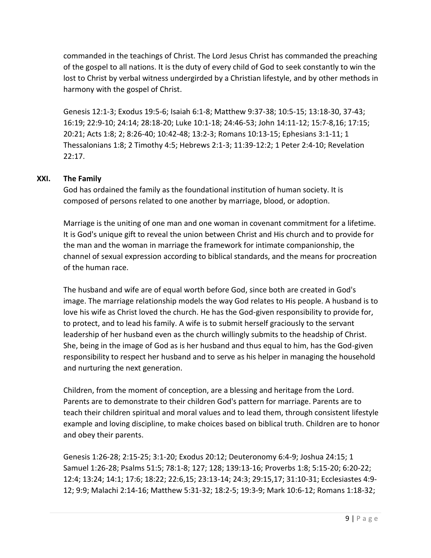commanded in the teachings of Christ. The Lord Jesus Christ has commanded the preaching of the gospel to all nations. It is the duty of every child of God to seek constantly to win the lost to Christ by verbal witness undergirded by a Christian lifestyle, and by other methods in harmony with the gospel of Christ.

Genesis 12:1-3; Exodus 19:5-6; Isaiah 6:1-8; Matthew 9:37-38; 10:5-15; 13:18-30, 37-43; 16:19; 22:9-10; 24:14; 28:18-20; Luke 10:1-18; 24:46-53; John 14:11-12; 15:7-8,16; 17:15; 20:21; Acts 1:8; 2; 8:26-40; 10:42-48; 13:2-3; Romans 10:13-15; Ephesians 3:1-11; 1 Thessalonians 1:8; 2 Timothy 4:5; Hebrews 2:1-3; 11:39-12:2; 1 Peter 2:4-10; Revelation 22:17.

# **XXI. The Family**

God has ordained the family as the foundational institution of human society. It is composed of persons related to one another by marriage, blood, or adoption.

Marriage is the uniting of one man and one woman in covenant commitment for a lifetime. It is God's unique gift to reveal the union between Christ and His church and to provide for the man and the woman in marriage the framework for intimate companionship, the channel of sexual expression according to biblical standards, and the means for procreation of the human race.

The husband and wife are of equal worth before God, since both are created in God's image. The marriage relationship models the way God relates to His people. A husband is to love his wife as Christ loved the church. He has the God-given responsibility to provide for, to protect, and to lead his family. A wife is to submit herself graciously to the servant leadership of her husband even as the church willingly submits to the headship of Christ. She, being in the image of God as is her husband and thus equal to him, has the God-given responsibility to respect her husband and to serve as his helper in managing the household and nurturing the next generation.

Children, from the moment of conception, are a blessing and heritage from the Lord. Parents are to demonstrate to their children God's pattern for marriage. Parents are to teach their children spiritual and moral values and to lead them, through consistent lifestyle example and loving discipline, to make choices based on biblical truth. Children are to honor and obey their parents.

Genesis 1:26-28; 2:15-25; 3:1-20; Exodus 20:12; Deuteronomy 6:4-9; Joshua 24:15; 1 Samuel 1:26-28; Psalms 51:5; 78:1-8; 127; 128; 139:13-16; Proverbs 1:8; 5:15-20; 6:20-22; 12:4; 13:24; 14:1; 17:6; 18:22; 22:6,15; 23:13-14; 24:3; 29:15,17; 31:10-31; Ecclesiastes 4:9- 12; 9:9; Malachi 2:14-16; Matthew 5:31-32; 18:2-5; 19:3-9; Mark 10:6-12; Romans 1:18-32;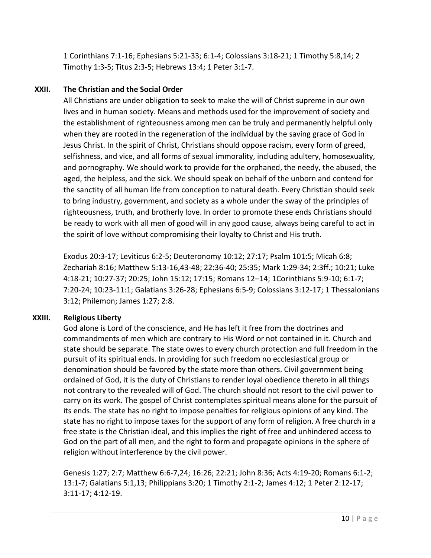1 Corinthians 7:1-16; Ephesians 5:21-33; 6:1-4; Colossians 3:18-21; 1 Timothy 5:8,14; 2 Timothy 1:3-5; Titus 2:3-5; Hebrews 13:4; 1 Peter 3:1-7.

# **XXII. The Christian and the Social Order**

All Christians are under obligation to seek to make the will of Christ supreme in our own lives and in human society. Means and methods used for the improvement of society and the establishment of righteousness among men can be truly and permanently helpful only when they are rooted in the regeneration of the individual by the saving grace of God in Jesus Christ. In the spirit of Christ, Christians should oppose racism, every form of greed, selfishness, and vice, and all forms of sexual immorality, including adultery, homosexuality, and pornography. We should work to provide for the orphaned, the needy, the abused, the aged, the helpless, and the sick. We should speak on behalf of the unborn and contend for the sanctity of all human life from conception to natural death. Every Christian should seek to bring industry, government, and society as a whole under the sway of the principles of righteousness, truth, and brotherly love. In order to promote these ends Christians should be ready to work with all men of good will in any good cause, always being careful to act in the spirit of love without compromising their loyalty to Christ and His truth.

Exodus 20:3-17; Leviticus 6:2-5; Deuteronomy 10:12; 27:17; Psalm 101:5; Micah 6:8; Zechariah 8:16; Matthew 5:13-16,43-48; 22:36-40; 25:35; Mark 1:29-34; 2:3ff.; 10:21; Luke 4:18-21; 10:27-37; 20:25; John 15:12; 17:15; Romans 12–14; 1Corinthians 5:9-10; 6:1-7; 7:20-24; 10:23-11:1; Galatians 3:26-28; Ephesians 6:5-9; Colossians 3:12-17; 1 Thessalonians 3:12; Philemon; James 1:27; 2:8.

### **XXIII. Religious Liberty**

God alone is Lord of the conscience, and He has left it free from the doctrines and commandments of men which are contrary to His Word or not contained in it. Church and state should be separate. The state owes to every church protection and full freedom in the pursuit of its spiritual ends. In providing for such freedom no ecclesiastical group or denomination should be favored by the state more than others. Civil government being ordained of God, it is the duty of Christians to render loyal obedience thereto in all things not contrary to the revealed will of God. The church should not resort to the civil power to carry on its work. The gospel of Christ contemplates spiritual means alone for the pursuit of its ends. The state has no right to impose penalties for religious opinions of any kind. The state has no right to impose taxes for the support of any form of religion. A free church in a free state is the Christian ideal, and this implies the right of free and unhindered access to God on the part of all men, and the right to form and propagate opinions in the sphere of religion without interference by the civil power.

Genesis 1:27; 2:7; Matthew 6:6-7,24; 16:26; 22:21; John 8:36; Acts 4:19-20; Romans 6:1-2; 13:1-7; Galatians 5:1,13; Philippians 3:20; 1 Timothy 2:1-2; James 4:12; 1 Peter 2:12-17; 3:11-17; 4:12-19.